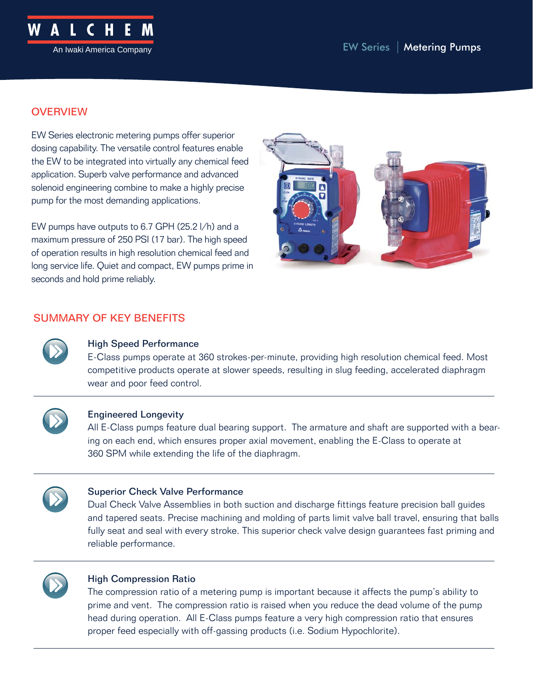

## **OVERVIEW**

EW Series electronic metering pumps offer superior dosing capability. The versatile control features enable the EW to be integrated into virtually any chemical feed application. Superb valve performance and advanced solenoid engineering combine to make a highly precise pump for the most demanding applications.

EW pumps have outputs to 6.7 GPH (25.2 l/h) and a maximum pressure of 250 PSI (17 bar). The high speed of operation results in high resolution chemical feed and long service life. Quiet and compact, EW pumps prime in seconds and hold prime reliably.



## SUMMARY OF KEY BENEFITS



### High Speed Performance

E-Class pumps operate at 360 strokes-per-minute, providing high resolution chemical feed. Most competitive products operate at slower speeds, resulting in slug feeding, accelerated diaphragm wear and poor feed control.



### Engineered Longevity

All E-Class pumps feature dual bearing support. The armature and shaft are supported with a bearing on each end, which ensures proper axial movement, enabling the E-Class to operate at 360 SPM while extending the life of the diaphragm.



### Superior Check Valve Performance

Dual Check Valve Assemblies in both suction and discharge fittings feature precision ball guides and tapered seats. Precise machining and molding of parts limit valve ball travel, ensuring that balls fully seat and seal with every stroke. This superior check valve design guarantees fast priming and reliable performance.



### High Compression Ratio

The compression ratio of a metering pump is important because it affects the pump's ability to prime and vent. The compression ratio is raised when you reduce the dead volume of the pump head during operation. All E-Class pumps feature a very high compression ratio that ensures proper feed especially with off-gassing products (i.e. Sodium Hypochlorite).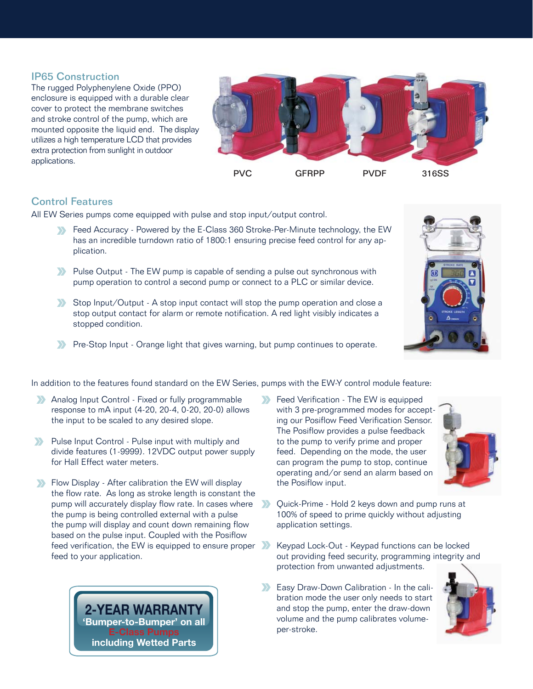### IP65 Construction

The rugged Polyphenylene Oxide (PPO) enclosure is equipped with a durable clear cover to protect the membrane switches and stroke control of the pump, which are mounted opposite the liquid end. The display utilizes a high temperature LCD that provides extra protection from sunlight in outdoor applications.



### Control Features

All EW Series pumps come equipped with pulse and stop input/output control.

- Feed Accuracy Powered by the E-Class 360 Stroke-Per-Minute technology, the EW has an incredible turndown ratio of 1800:1 ensuring precise feed control for any application.
- **Pulse Output The EW pump is capable of sending a pulse out synchronous with** pump operation to control a second pump or connect to a PLC or similar device.
- Stop Input/Output A stop input contact will stop the pump operation and close a stop output contact for alarm or remote notification. A red light visibly indicates a stopped condition.
- **Pre-Stop Input Orange light that gives warning, but pump continues to operate.**



- Analog Input Control Fixed or fully programmable response to mA input (4-20, 20-4, 0-20, 20-0) allows the input to be scaled to any desired slope.
- **Pulse Input Control Pulse input with multiply and** divide features (1-9999). 12VDC output power supply for Hall Effect water meters.
- Flow Display After calibration the EW will display the flow rate. As long as stroke length is constant the pump will accurately display flow rate. In cases where the pump is being controlled external with a pulse the pump will display and count down remaining flow based on the pulse input. Coupled with the Posiflow feed verification, the EW is equipped to ensure proper feed to your application.



Feed Verification - The EW is equipped with 3 pre-programmed modes for accepting our Posiflow Feed Verification Sensor. The Posiflow provides a pulse feedback to the pump to verify prime and proper feed. Depending on the mode, the user can program the pump to stop, continue operating and/or send an alarm based on the Posiflow input.



- Quick-Prime Hold 2 keys down and pump runs at  $\sum$ 100% of speed to prime quickly without adjusting application settings.
- Keypad Lock-Out Keypad functions can be locked out providing feed security, programming integrity and protection from unwanted adjustments.
- **Easy Draw-Down Calibration In the cali**bration mode the user only needs to start and stop the pump, enter the draw-down volume and the pump calibrates volumeper-stroke.

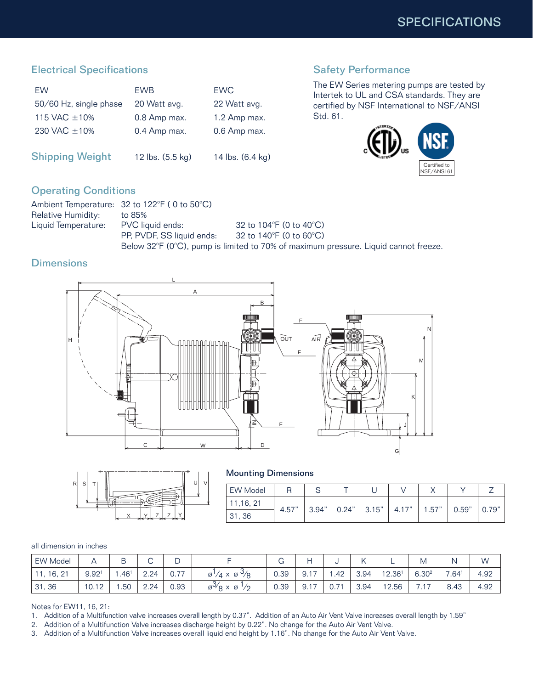## Electrical Specifications

| <b>FW</b>              | <b>FWB</b>   | <b>FWC</b>   |
|------------------------|--------------|--------------|
| 50/60 Hz, single phase | 20 Watt avg. | 22 Watt avg. |
| 115 VAC $+10\%$        | 0.8 Amp max. | 1.2 Amp max. |
| 230 VAC $+10\%$        | 0.4 Amp max. | 0.6 Amp max. |
|                        |              |              |

Shipping Weight 12 lbs. (5.5 kg) 14 lbs. (6.4 kg)

# Safety Performance

The EW Series metering pumps are tested by Intertek to UL and CSA standards. They are certified by NSF International to NSF/ANSI Std. 61.



## Operating Conditions

|                     | Ambient Temperature: 32 to 122°F (0 to 50°C) |                                                                                                         |
|---------------------|----------------------------------------------|---------------------------------------------------------------------------------------------------------|
| Relative Humidity:  | to 85%                                       |                                                                                                         |
| Liquid Temperature: | PVC liquid ends:                             | 32 to 104 $\degree$ F (0 to 40 $\degree$ C)                                                             |
|                     | PP, PVDF, SS liquid ends:                    | 32 to 140°F (0 to 60°C).                                                                                |
|                     |                                              | Below $32^{\circ}F$ (0 $^{\circ}C$ ), pump is limited to 70% of maximum pressure. Liquid cannot freeze. |

## **Dimensions**





Mounting Dimensions

| <b>EW Model</b> |       |       |       |        |       |       |       |       |
|-----------------|-------|-------|-------|--------|-------|-------|-------|-------|
| 11,16, 21       |       | 3.94" | 0.24" | 13.15" | 4.17" |       |       |       |
| 31, 36          | 4.57" |       |       |        |       | 1.57" | 0.59" | 0.79" |

#### all dimension in inches

| <b>EW Model</b> |                   | ₽<br>ٮ           |      | ີ    |                                                                |      |      |      |      |        | ΙVΙ                |                   | W    |
|-----------------|-------------------|------------------|------|------|----------------------------------------------------------------|------|------|------|------|--------|--------------------|-------------------|------|
| 11, 16, 21      | 9.92 <sup>1</sup> | .46 <sup>1</sup> | 2.24 | 0.77 | $\varnothing'/4 \times \varnothing'$ /8                        | 0.39 | .917 | .42  | 3.94 | 12.361 | 6.30 <sup>2</sup>  | 7.64 <sup>1</sup> | 4.92 |
| 31, 36          | 10.12             | .50              | 2.24 | 0.93 | $\varnothing^{\vee}\!\!\vartriangletimes\!\!\varnothing$<br>"י | 0.39 | 9.17 | 0.71 | 3.94 | 12.56  | $\rightarrow$<br>. | 8.43              | 4.92 |

Notes for EW11, 16, 21:

1. Addition of a Multifunction valve increases overall length by 0.37". Addition of an Auto Air Vent Valve increases overall length by 1.59"

2. Addition of a Multifunction Valve increases discharge height by 0.22". No change for the Auto Air Vent Valve.

3. Addition of a Multifunction Valve increases overall liquid end height by 1.16". No change for the Auto Air Vent Valve.